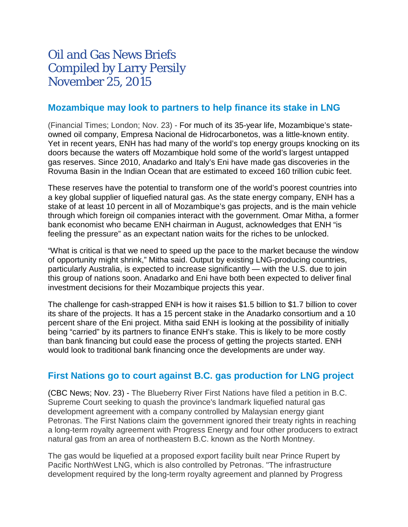# Oil and Gas News Briefs Compiled by Larry Persily November 25, 2015

## **[Mozambique may look to partners to help finance its stake in LNG](http://www.ft.com/intl/cms/s/0/27c165a6-91d3-11e5-bd82-c1fb87bef7af.html#axzz3sLCpGAA4)**

(Financial Times; London; Nov. 23) - For much of its 35-year life, Mozambique's stateowned oil company, Empresa Nacional de Hidrocarbonetos, was a little-known entity. Yet in recent years, ENH has had many of the world's top energy groups knocking on its doors because the waters off Mozambique hold some of the world's largest untapped gas reserves. Since 2010, Anadarko and Italy's Eni have made gas discoveries in the Rovuma Basin in the Indian Ocean that are estimated to exceed 160 trillion cubic feet.

These reserves have the potential to transform one of the world's poorest countries into a key global supplier of liquefied natural gas. As the state energy company, ENH has a stake of at least 10 percent in all of Mozambique's gas projects, and is the main vehicle through which foreign oil companies interact with the government. Omar Mitha, a former bank economist who became ENH chairman in August, acknowledges that ENH "is feeling the pressure" as an expectant nation waits for the riches to be unlocked.

"What is critical is that we need to speed up the pace to the market because the window of opportunity might shrink," Mitha said. Output by existing LNG-producing countries, particularly Australia, is expected to increase significantly — with the U.S. due to join this group of nations soon. Anadarko and Eni have both been expected to deliver final investment decisions for their Mozambique projects this year.

The challenge for cash-strapped ENH is how it raises \$1.5 billion to \$1.7 billion to cover its share of the projects. It has a 15 percent stake in the Anadarko consortium and a 10 percent share of the Eni project. Mitha said ENH is looking at the possibility of initially being "carried" by its partners to finance ENH's stake. This is likely to be more costly than bank financing but could ease the process of getting the projects started. ENH would look to traditional bank financing once the developments are under way.

## **[First Nations go to court against B.C. gas production for LNG project](http://www.cbc.ca/news/canada/british-columbia/landmark-lng-agreement-under-fire-in-lawsuit-1.3329129)**

(CBC News; Nov. 23) - The Blueberry River First Nations have filed a petition in B.C. Supreme Court seeking to quash the province's landmark liquefied natural gas development agreement with a company controlled by Malaysian energy giant Petronas. The First Nations claim the government ignored their treaty rights in reaching a long-term royalty agreement with Progress Energy and four other producers to extract natural gas from an area of northeastern B.C. known as the North Montney.

The gas would be liquefied at a proposed export facility built near Prince Rupert by Pacific NorthWest LNG, which is also controlled by Petronas. "The infrastructure development required by the long-term royalty agreement and planned by Progress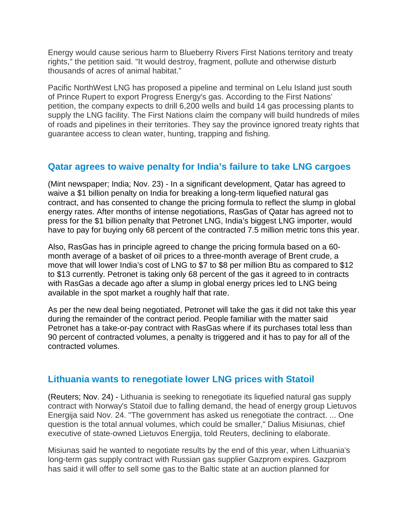Energy would cause serious harm to Blueberry Rivers First Nations territory and treaty rights," the petition said. "It would destroy, fragment, pollute and otherwise disturb thousands of acres of animal habitat."

Pacific NorthWest LNG has proposed a pipeline and terminal on Lelu Island just south of Prince Rupert to export Progress Energy's gas. According to the First Nations' petition, the company expects to drill 6,200 wells and build 14 gas processing plants to supply the LNG facility. The First Nations claim the company will build hundreds of miles of roads and pipelines in their territories. They say the province ignored treaty rights that guarantee access to clean water, hunting, trapping and fishing.

## **[Qatar agrees to waive penalty for India's failure to take LNG cargoes](http://www.livemint.com/Industry/5r46m887WaOiZtzraywpQL/Qatar-to-waive-1-billion-penalty-on-India-for-lower-gas-off.html)**

(Mint newspaper; India; Nov. 23) - In a significant development, Qatar has agreed to waive a \$1 billion penalty on India for breaking a long-term liquefied natural gas contract, and has consented to change the pricing formula to reflect the slump in global energy rates. After months of intense negotiations, RasGas of Qatar has agreed not to press for the \$1 billion penalty that Petronet LNG, India's biggest LNG importer, would have to pay for buying only 68 percent of the contracted 7.5 million metric tons this year.

Also, RasGas has in principle agreed to change the pricing formula based on a 60 month average of a basket of oil prices to a three-month average of Brent crude, a move that will lower India's cost of LNG to \$7 to \$8 per million Btu as compared to \$12 to \$13 currently. Petronet is taking only 68 percent of the gas it agreed to in contracts with RasGas a decade ago after a slump in global energy prices led to LNG being available in the spot market a roughly half that rate.

As per the new deal being negotiated, Petronet will take the gas it did not take this year during the remainder of the contract period. People familiar with the matter said Petronet has a take-or-pay contract with RasGas where if its purchases total less than 90 percent of contracted volumes, a penalty is triggered and it has to pay for all of the contracted volumes.

### **[Lithuania wants to renegotiate lower LNG prices with Statoil](http://af.reuters.com/article/energyOilNews/idAFL8N13J4G720151124?sp=true)**

(Reuters; Nov. 24) - Lithuania is seeking to renegotiate its liquefied natural gas supply contract with Norway's Statoil due to falling demand, the head of energy group Lietuvos Energija said Nov. 24. "The government has asked us renegotiate the contract. ... One question is the total annual volumes, which could be smaller," Dalius Misiunas, chief executive of state-owned Lietuvos Energija, told Reuters, declining to elaborate.

Misiunas said he wanted to negotiate results by the end of this year, when Lithuania's long-term gas supply contract with Russian gas supplier Gazprom expires. Gazprom has said it will offer to sell some gas to the Baltic state at an auction planned for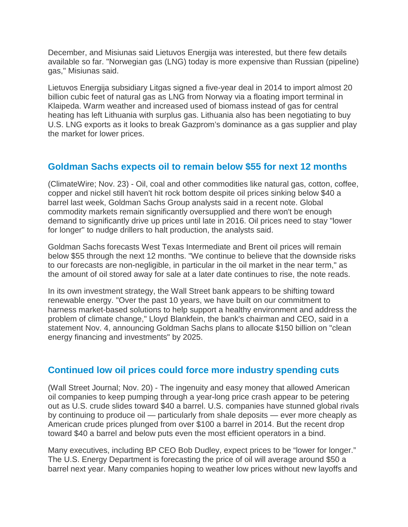December, and Misiunas said Lietuvos Energija was interested, but there few details available so far. "Norwegian gas (LNG) today is more expensive than Russian (pipeline) gas," Misiunas said.

Lietuvos Energija subsidiary Litgas signed a five-year deal in 2014 to import almost 20 billion cubic feet of natural gas as LNG from Norway via a floating import terminal in Klaipeda. Warm weather and increased used of biomass instead of gas for central heating has left Lithuania with surplus gas. Lithuania also has been negotiating to buy U.S. LNG exports as it looks to break Gazprom's dominance as a gas supplier and play the market for lower prices.

## **[Goldman Sachs expects oil to remain below \\$55 for next 12 months](http://www.eenews.net/cw)**

(ClimateWire; Nov. 23) - Oil, coal and other commodities like natural gas, cotton, coffee, copper and nickel still haven't hit rock bottom despite oil prices sinking below \$40 a barrel last week, Goldman Sachs Group analysts said in a recent note. Global commodity markets remain significantly oversupplied and there won't be enough demand to significantly drive up prices until late in 2016. Oil prices need to stay "lower for longer" to nudge drillers to halt production, the analysts said.

Goldman Sachs forecasts West Texas Intermediate and Brent oil prices will remain below \$55 through the next 12 months. "We continue to believe that the downside risks to our forecasts are non-negligible, in particular in the oil market in the near term," as the amount of oil stored away for sale at a later date continues to rise, the note reads.

In its own investment strategy, the Wall Street bank appears to be shifting toward renewable energy. "Over the past 10 years, we have built on our commitment to harness market-based solutions to help support a healthy environment and address the problem of climate change," Lloyd Blankfein, the bank's chairman and CEO, said in a statement Nov. 4, announcing Goldman Sachs plans to allocate \$150 billion on "clean energy financing and investments" by 2025.

### **[Continued low oil prices could force more industry spending cuts](http://www.wsj.com/articles/low-crude-prices-catch-up-with-the-u-s-oil-patch-1448066561)**

(Wall Street Journal; Nov. 20) - The ingenuity and easy money that allowed American oil companies to keep pumping through a year-long price crash appear to be petering out as U.S. crude slides toward \$40 a barrel. U.S. companies have stunned global rivals by continuing to produce oil — particularly from shale deposits — ever more cheaply as American crude prices plunged from over \$100 a barrel in 2014. But the recent drop toward \$40 a barrel and below puts even the most efficient operators in a bind.

Many executives, including BP CEO Bob Dudley, expect prices to be "lower for longer." The U.S. Energy Department is forecasting the price of oil will average around \$50 a barrel next year. Many companies hoping to weather low prices without new layoffs and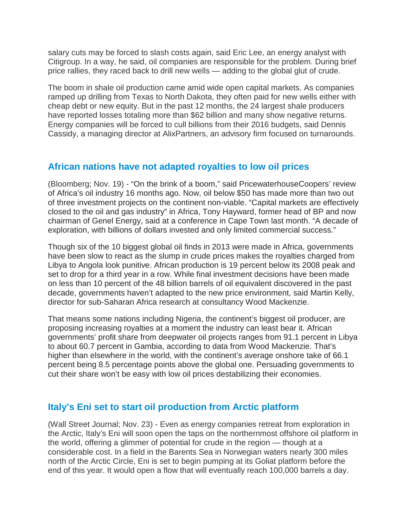salary cuts may be forced to slash costs again, said Eric Lee, an energy analyst with Citigroup. In a way, he said, oil companies are responsible for the problem. During brief price rallies, they raced back to drill new wells — adding to the global glut of crude.

The boom in shale oil production came amid wide open capital markets. As companies ramped up drilling from Texas to North Dakota, they often paid for new wells either with cheap debt or new equity. But in the past 12 months, the 24 largest shale producers have reported losses totaling more than \$62 billion and many show negative returns. Energy companies will be forced to cull billions from their 2016 budgets, said Dennis Cassidy, a managing director at AlixPartners, an advisory firm focused on turnarounds.

## **[African nations have not adapted royalties to low oil prices](https://www.bloomberg.com/news/articles/2015-11-20/africa-oil-boom-fades-as-50-crude-shuts-door-on-high-cost-deals)**

(Bloomberg; Nov. 19) - "On the brink of a boom," said PricewaterhouseCoopers' review of Africa's oil industry 16 months ago. Now, oil below \$50 has made more than two out of three investment projects on the continent non-viable. "Capital markets are effectively closed to the oil and gas industry" in Africa, Tony Hayward, former head of BP and now chairman of Genel Energy, said at a conference in Cape Town last month. "A decade of exploration, with billions of dollars invested and only limited commercial success."

Though six of the 10 biggest global oil finds in 2013 were made in Africa, governments have been slow to react as the slump in crude prices makes the royalties charged from Libya to Angola look punitive. African production is 19 percent below its 2008 peak and set to drop for a third year in a row. While final investment decisions have been made on less than 10 percent of the 48 billion barrels of oil equivalent discovered in the past decade, governments haven't adapted to the new price environment, said Martin Kelly, director for sub-Saharan Africa research at consultancy Wood Mackenzie.

That means some nations including Nigeria, the continent's biggest oil producer, are proposing increasing royalties at a moment the industry can least bear it. African governments' profit share from deepwater oil projects ranges from 91.1 percent in Libya to about 60.7 percent in Gambia, according to data from Wood Mackenzie. That's higher than elsewhere in the world, with the continent's average onshore take of 66.1 percent being 8.5 percentage points above the global one. Persuading governments to cut their share won't be easy with low oil prices destabilizing their economies.

## **[Italy's Eni set to start oil production from Arctic platform](http://www.wsj.com/articles/italys-eni-set-to-begin-arctic-oil-quest-even-as-others-abandon-field-1448274602)**

(Wall Street Journal; Nov. 23) - Even as energy companies retreat from exploration in the Arctic, Italy's Eni will soon open the taps on the northernmost offshore oil platform in the world, offering a glimmer of potential for crude in the region — though at a considerable cost. In a field in the Barents Sea in Norwegian waters nearly 300 miles north of the Arctic Circle, Eni is set to begin pumping at its Goliat platform before the end of this year. It would open a flow that will eventually reach 100,000 barrels a day.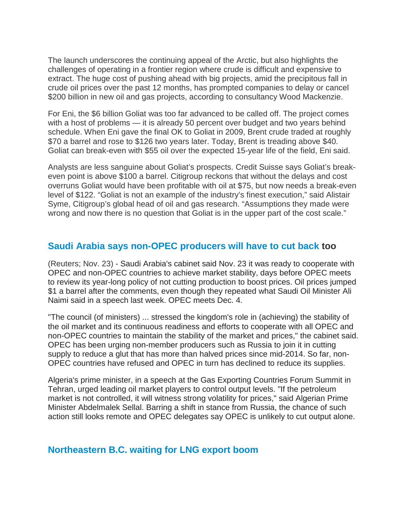The launch underscores the continuing appeal of the Arctic, but also highlights the challenges of operating in a frontier region where crude is difficult and expensive to extract. The huge cost of pushing ahead with big projects, amid the precipitous fall in crude oil prices over the past 12 months, has prompted companies to delay or cancel \$200 billion in new oil and gas projects, according to consultancy Wood Mackenzie.

For Eni, the \$6 billion Goliat was too far advanced to be called off. The project comes with a host of problems — it is already 50 percent over budget and two years behind schedule. When Eni gave the final OK to Goliat in 2009, Brent crude traded at roughly \$70 a barrel and rose to \$126 two years later. Today, Brent is treading above \$40. Goliat can break-even with \$55 oil over the expected 15-year life of the field, Eni said.

Analysts are less sanguine about Goliat's prospects. Credit Suisse says Goliat's breakeven point is above \$100 a barrel. Citigroup reckons that without the delays and cost overruns Goliat would have been profitable with oil at \$75, but now needs a break-even level of \$122. "Goliat is not an example of the industry's finest execution," said Alistair Syme, Citigroup's global head of oil and gas research. "Assumptions they made were wrong and now there is no question that Goliat is in the upper part of the cost scale."

#### **[Saudi Arabia says non-OPEC producers will have to cut back](http://www.reuters.com/article/2015/11/23/us-saudi-oil-cabinet-idUSKBN0TC16N20151123#SyIUDefj9UXizCcz.97) too**

(Reuters; Nov. 23) - Saudi Arabia's cabinet said Nov. 23 it was ready to cooperate with OPEC and non-OPEC countries to achieve market stability, days before OPEC meets to review its year-long policy of not cutting production to boost prices. Oil prices jumped \$1 a barrel after the comments, even though they repeated what Saudi Oil Minister Ali Naimi said in a speech last week. OPEC meets Dec. 4.

"The council (of ministers) ... stressed the kingdom's role in (achieving) the stability of the oil market and its continuous readiness and efforts to cooperate with all OPEC and non-OPEC countries to maintain the stability of the market and prices," the cabinet said. OPEC has been urging non-member producers such as Russia to join it in cutting supply to reduce a glut that has more than halved prices since mid-2014. So far, non-OPEC countries have refused and OPEC in turn has declined to reduce its supplies.

Algeria's prime minister, in a speech at the Gas Exporting Countries Forum Summit in Tehran, urged leading oil market players to control output levels. "If the petroleum market is not controlled, it will witness strong volatility for prices," said Algerian Prime Minister Abdelmalek Sellal. Barring a shift in stance from Russia, the chance of such action still looks remote and OPEC delegates say OPEC is unlikely to cut output alone.

#### **[Northeastern B.C. waiting for LNG export boom](http://www.alaskahighwaynews.ca/business/lng-boomtowns-fact-or-fiction-1.2115907)**